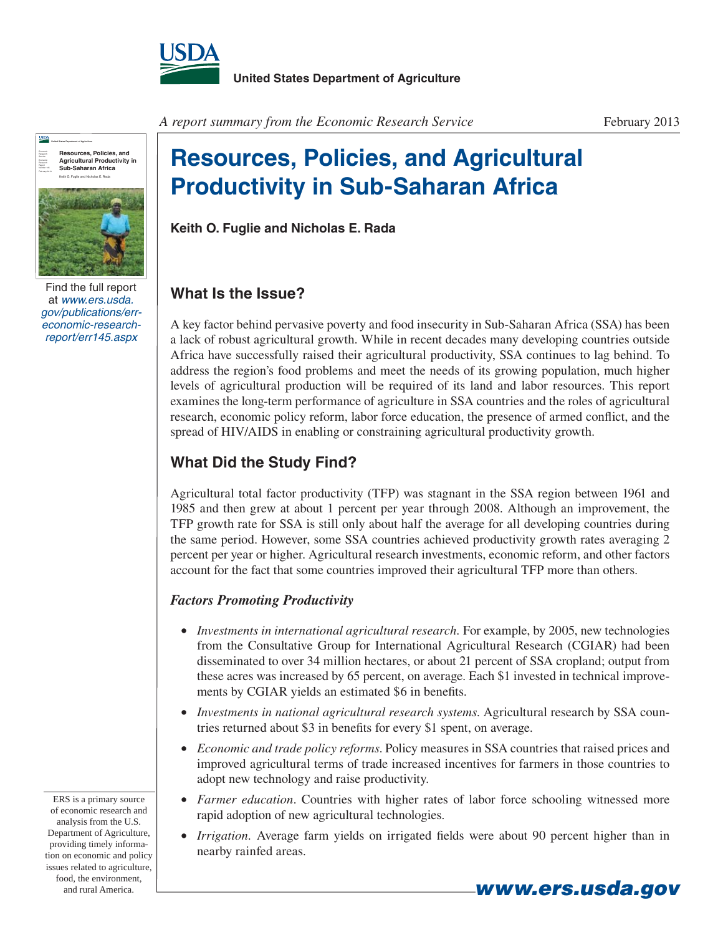



Find the full report at *www.ers.usda. gov/publications/erreconomic-researchreport/err145.aspx*

*A report summary from the Economic Research Service*

# **Resources, Policies, and Agricultural Productivity in Sub-Saharan Africa**

**Keith O. Fuglie and Nicholas E. Rada**

# **What Is the Issue?**

A key factor behind pervasive poverty and food insecurity in Sub-Saharan Africa (SSA) has been a lack of robust agricultural growth. While in recent decades many developing countries outside Africa have successfully raised their agricultural productivity, SSA continues to lag behind. To address the region's food problems and meet the needs of its growing population, much higher levels of agricultural production will be required of its land and labor resources. This report examines the long-term performance of agriculture in SSA countries and the roles of agricultural research, economic policy reform, labor force education, the presence of armed conflict, and the spread of HIV/AIDS in enabling or constraining agricultural productivity growth.

## **What Did the Study Find?**

Agricultural total factor productivity (TFP) was stagnant in the SSA region between 1961 and 1985 and then grew at about 1 percent per year through 2008. Although an improvement, the TFP growth rate for SSA is still only about half the average for all developing countries during the same period. However, some SSA countries achieved productivity growth rates averaging 2 percent per year or higher. Agricultural research investments, economic reform, and other factors account for the fact that some countries improved their agricultural TFP more than others.

#### *Factors Promoting Productivity*

- *Investments in international agricultural research.* For example, by 2005, new technologies from the Consultative Group for International Agricultural Research (CGIAR) had been disseminated to over 34 million hectares, or about 21 percent of SSA cropland; output from these acres was increased by 65 percent, on average. Each \$1 invested in technical improvements by CGIAR yields an estimated \$6 in benefits.
- *Investments in national agricultural research systems*. Agricultural research by SSA countries returned about \$3 in benefits for every \$1 spent, on average.
- *Economic and trade policy reforms*. Policy measures in SSA countries that raised prices and improved agricultural terms of trade increased incentives for farmers in those countries to adopt new technology and raise productivity.
- *Farmer education*. Countries with higher rates of labor force schooling witnessed more rapid adoption of new agricultural technologies.
- *Irrigation*. Average farm yields on irrigated fields were about 90 percent higher than in nearby rainfed areas.

ERS is a primary source of economic research and analysis from the U.S. Department of Agriculture, providing timely information on economic and policy issues related to agriculture, food, the environment, and rural America. **www.ers.usda.gov**